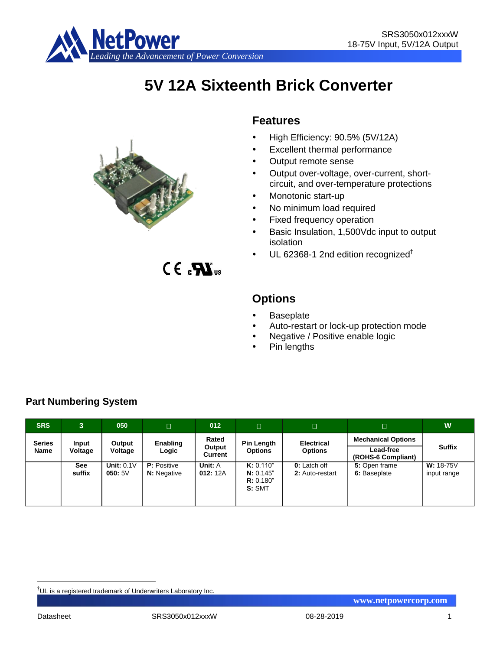

# **5V 12A Sixteenth Brick Converter**



 $CE<sub>a</sub>$ 

# **Features**

- High Efficiency: 90.5% (5V/12A)
- Excellent thermal performance
- Output remote sense
- Output over-voltage, over-current, shortcircuit, and over-temperature protections
- Monotonic start-up
- No minimum load required
- Fixed frequency operation
- Basic Insulation, 1,500Vdc input to output isolation
- UL 62368-1 2nd edition recognized†

# **Options**

- **Baseplate**
- Auto-restart or lock-up protection mode
- Negative / Positive enable logic
- Pin lengths

| <b>SRS</b>            | $\mathbf{3}$     | 050                    | $\Box$                                   | 012                        | П                                             | $\Box$                              | $\Box$                                                       | W                          |
|-----------------------|------------------|------------------------|------------------------------------------|----------------------------|-----------------------------------------------|-------------------------------------|--------------------------------------------------------------|----------------------------|
| <b>Series</b><br>Name | Input<br>Voltage | Output<br>Voltage      | Enabling<br>Logic                        | Rated<br>Output<br>Current | <b>Pin Length</b><br><b>Options</b>           | <b>Electrical</b><br><b>Options</b> | <b>Mechanical Options</b><br>Lead-free<br>(ROHS-6 Compliant) | <b>Suffix</b>              |
|                       | See<br>suffix    | Unit: $0.1V$<br>050:5V | <b>P:</b> Positive<br><b>N:</b> Negative | Unit: A<br>012:12A         | K: 0.110"<br>N: 0.145"<br>R: 0.180"<br>S: SMT | 0: Latch off<br>2: Auto-restart     | 5: Open frame<br>6: Baseplate                                | $W: 18-75V$<br>input range |

# **Part Numbering System**

<u>.</u>

<sup>†</sup>UL is a registered trademark of Underwriters Laboratory Inc.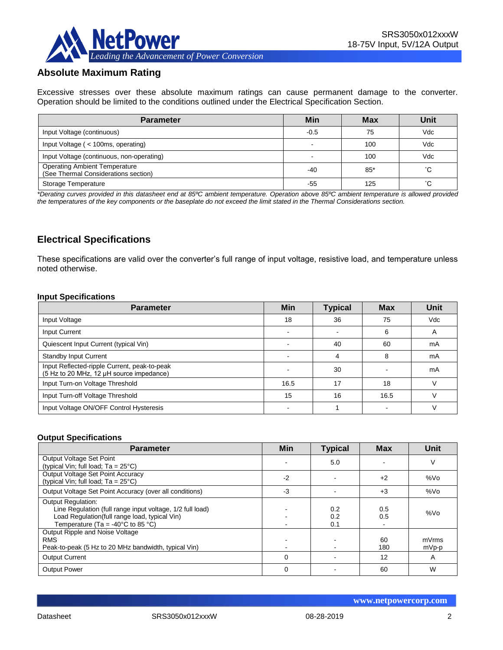

# **Absolute Maximum Rating**

Excessive stresses over these absolute maximum ratings can cause permanent damage to the converter. Operation should be limited to the conditions outlined under the Electrical Specification Section.

| <b>Parameter</b>                                                             | Min    | <b>Max</b> | Unit |
|------------------------------------------------------------------------------|--------|------------|------|
| Input Voltage (continuous)                                                   | $-0.5$ | 75         | Vdc  |
| Input Voltage (< 100ms, operating)                                           |        | 100        | Vdc  |
| Input Voltage (continuous, non-operating)                                    |        | 100        | Vdc  |
| <b>Operating Ambient Temperature</b><br>(See Thermal Considerations section) | $-40$  | $85*$      | °С   |
| Storage Temperature                                                          | -55    | 125        | °С   |

*\*Derating curves provided in this datasheet end at 85ºC ambient temperature. Operation above 85ºC ambient temperature is allowed provided the temperatures of the key components or the baseplate do not exceed the limit stated in the Thermal Considerations section.*

# **Electrical Specifications**

These specifications are valid over the converter's full range of input voltage, resistive load, and temperature unless noted otherwise.

#### **Input Specifications**

| <b>Parameter</b>                                                                         | <b>Min</b> | <b>Typical</b> | <b>Max</b> | Unit       |
|------------------------------------------------------------------------------------------|------------|----------------|------------|------------|
| Input Voltage                                                                            | 18         | 36             | 75         | <b>Vdc</b> |
| Input Current                                                                            |            |                | 6          | A          |
| Quiescent Input Current (typical Vin)                                                    |            | 40             | 60         | mA         |
| <b>Standby Input Current</b>                                                             |            |                | 8          | mA         |
| Input Reflected-ripple Current, peak-to-peak<br>(5 Hz to 20 MHz, 12 µH source impedance) |            | 30             |            | mA         |
| Input Turn-on Voltage Threshold                                                          | 16.5       | 17             | 18         |            |
| Input Turn-off Voltage Threshold                                                         | 15         | 16             | 16.5       |            |
| Input Voltage ON/OFF Control Hysteresis                                                  |            |                |            |            |

### **Output Specifications**

| <b>Parameter</b>                                                                                                                                                                                  | Min      | <b>Typical</b>    | <b>Max</b> | Unit            |
|---------------------------------------------------------------------------------------------------------------------------------------------------------------------------------------------------|----------|-------------------|------------|-----------------|
| Output Voltage Set Point<br>(typical Vin; full load; $Ta = 25^{\circ}C$ )                                                                                                                         |          | 5.0               |            | V               |
| Output Voltage Set Point Accuracy<br>(typical Vin; full load; $Ta = 25^{\circ}C$ )                                                                                                                | $-2$     |                   | $+2$       | %V <sub>O</sub> |
| Output Voltage Set Point Accuracy (over all conditions)                                                                                                                                           | -3       |                   | $+3$       | %Vo             |
| <b>Output Regulation:</b><br>Line Regulation (full range input voltage, 1/2 full load)<br>Load Regulation(full range load, typical Vin)<br>Temperature (Ta = -40 $^{\circ}$ C to 85 $^{\circ}$ C) |          | 0.2<br>0.2<br>0.1 | 0.5<br>0.5 | %Vo             |
| Output Ripple and Noise Voltage<br><b>RMS</b><br>Peak-to-peak (5 Hz to 20 MHz bandwidth, typical Vin)                                                                                             |          |                   | 60<br>180  | mVrms<br>mVp-p  |
| <b>Output Current</b>                                                                                                                                                                             | $\Omega$ |                   | 12         | A               |
| <b>Output Power</b>                                                                                                                                                                               | $\Omega$ |                   | 60         | W               |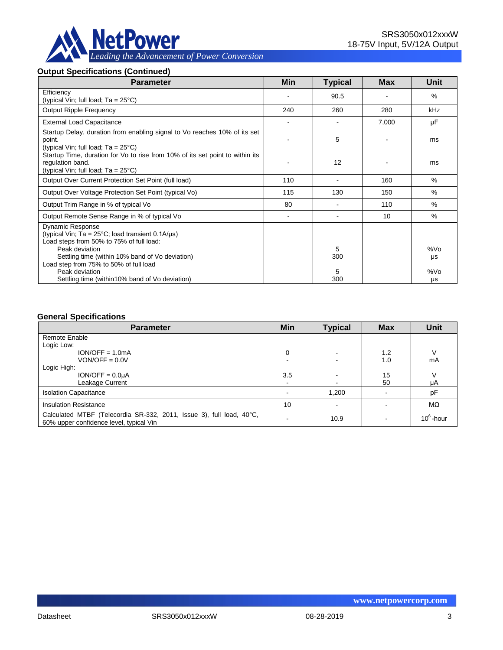

#### **Output Specifications (Continued)**

| <b>Parameter</b>                                                                                                                                                                                                                                        | Min            | <b>Typical</b> | Max   | Unit      |
|---------------------------------------------------------------------------------------------------------------------------------------------------------------------------------------------------------------------------------------------------------|----------------|----------------|-------|-----------|
| Efficiency<br>(typical Vin; full load; $Ta = 25^{\circ}C$ )                                                                                                                                                                                             |                | 90.5           |       | $\%$      |
| <b>Output Ripple Frequency</b>                                                                                                                                                                                                                          | 240            | 260            | 280   | kHz       |
| <b>External Load Capacitance</b>                                                                                                                                                                                                                        |                |                | 7,000 | μF        |
| Startup Delay, duration from enabling signal to Vo reaches 10% of its set<br>point.<br>(typical Vin; full load; $Ta = 25^{\circ}C$ )                                                                                                                    |                | 5              |       | ms        |
| Startup Time, duration for Vo to rise from 10% of its set point to within its<br>regulation band.<br>(typical Vin; full load; $Ta = 25^{\circ}C$ )                                                                                                      |                | 12             |       | ms        |
| Output Over Current Protection Set Point (full load)                                                                                                                                                                                                    | 110            |                | 160   | $\%$      |
| Output Over Voltage Protection Set Point (typical Vo)                                                                                                                                                                                                   | 115            | 130            | 150   | %         |
| Output Trim Range in % of typical Vo                                                                                                                                                                                                                    | 80             |                | 110   | $\%$      |
| Output Remote Sense Range in % of typical Vo                                                                                                                                                                                                            | $\blacksquare$ |                | 10    | $\%$      |
| <b>Dynamic Response</b><br>(typical Vin; $Ta = 25^{\circ}C$ ; load transient 0.1A/ $\mu s$ )<br>Load steps from 50% to 75% of full load:<br>Peak deviation<br>Settling time (within 10% band of Vo deviation)<br>Load step from 75% to 50% of full load |                | 5<br>300       |       | %Vo<br>μs |
| Peak deviation<br>Settling time (within 10% band of Vo deviation)                                                                                                                                                                                       |                | 5<br>300       |       | %Vo<br>μs |

#### **General Specifications**

| <b>Parameter</b>                                                                                                | Min | <b>Typical</b> | <b>Max</b> | <b>Unit</b>  |
|-----------------------------------------------------------------------------------------------------------------|-----|----------------|------------|--------------|
| Remote Enable                                                                                                   |     |                |            |              |
| Logic Low:                                                                                                      |     |                |            |              |
| $ION/OFF = 1.0mA$                                                                                               | 0   | $\sim$         | 1.2        |              |
| $VON/OFF = 0.0V$                                                                                                |     |                | 1.0        | mA           |
| Logic High:                                                                                                     |     |                |            |              |
| $ION/OFF = 0.0UA$                                                                                               | 3.5 |                | 15         |              |
| Leakage Current                                                                                                 | ۰   | $\blacksquare$ | 50         | μA           |
| <b>Isolation Capacitance</b>                                                                                    |     | 1,200          |            | pF           |
| <b>Insulation Resistance</b>                                                                                    | 10  |                |            | $M\Omega$    |
| Calculated MTBF (Telecordia SR-332, 2011, Issue 3), full load, 40°C,<br>60% upper confidence level, typical Vin |     | 10.9           |            | $10^6$ -hour |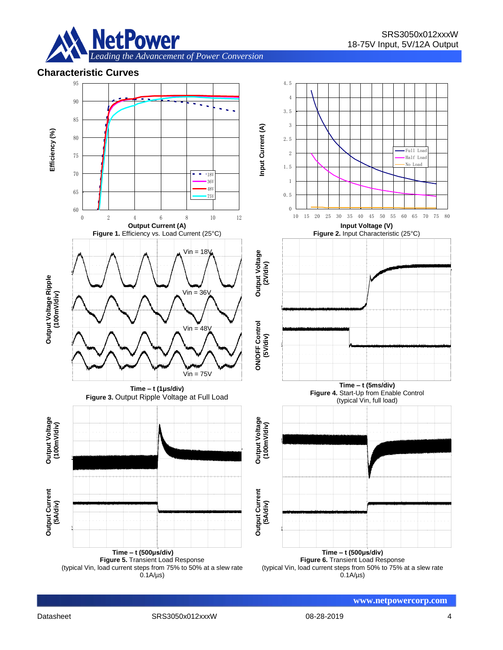

## **Characteristic Curves**

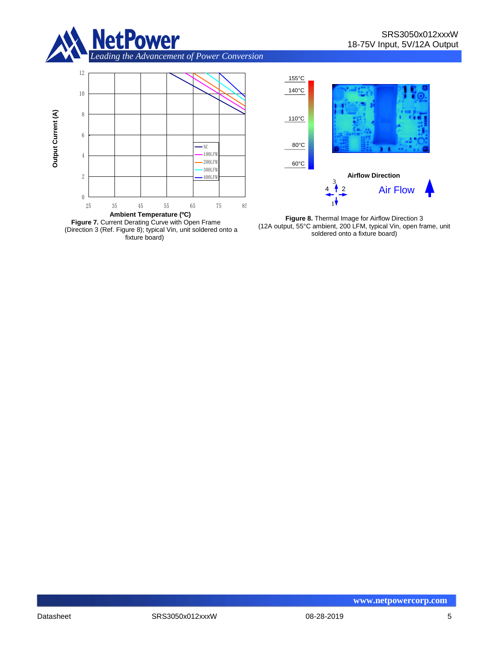





**Figure 8.** Thermal Image for Airflow Direction 3 (12A output, 55°C ambient, 200 LFM, typical Vin, open frame, unit soldered onto a fixture board)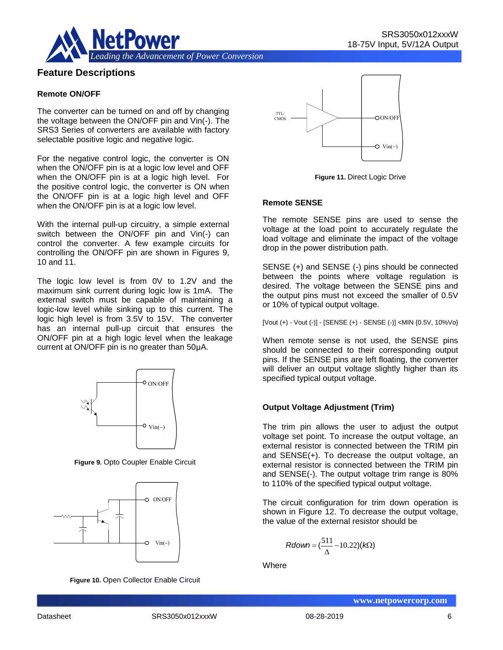



## **Feature Descriptions**

#### **Remote ON/OFF**

The converter can be turned on and off by changing the voltage between the ON/OFF pin and Vin(-). The SRS3 Series of converters are available with factory selectable positive logic and negative logic.

For the negative control logic, the converter is ON when the ON/OFF pin is at a logic low level and OFF when the ON/OFF pin is at a logic high level. For the positive control logic, the converter is ON when the ON/OFF pin is at a logic high level and OFF when the ON/OFF pin is at a logic low level.

With the internal pull-up circuitry, a simple external switch between the ON/OFF pin and Vin(-) can control the converter. A few example circuits for controlling the ON/OFF pin are shown in Figures 9, 10 and 11.

The logic low level is from 0V to 1.2V and the maximum sink current during logic low is 1mA. The external switch must be capable of maintaining a logic-low level while sinking up to this current. The logic high level is from 3.5V to 15V. The converter has an internal pull-up circuit that ensures the ON/OFF pin at a high logic level when the leakage current at ON/OFF pin is no greater than 50μA.



**Figure 9.** Opto Coupler Enable Circuit



**Figure 10.** Open Collector Enable Circuit



**Figure 11.** Direct Logic Drive

#### **Remote SENSE**

The remote SENSE pins are used to sense the voltage at the load point to accurately regulate the load voltage and eliminate the impact of the voltage drop in the power distribution path.

SENSE (+) and SENSE (-) pins should be connected between the points where voltage regulation is desired. The voltage between the SENSE pins and the output pins must not exceed the smaller of 0.5V or 10% of typical output voltage.

[Vout (+) - Vout (-)] - [SENSE (+) - SENSE (-)] <MIN {0.5V, 10%Vo}

When remote sense is not used, the SENSE pins should be connected to their corresponding output pins. If the SENSE pins are left floating, the converter will deliver an output voltage slightly higher than its specified typical output voltage.

#### **Output Voltage Adjustment (Trim)**

The trim pin allows the user to adjust the output voltage set point. To increase the output voltage, an external resistor is connected between the TRIM pin and SENSE(+). To decrease the output voltage, an external resistor is connected between the TRIM pin and SENSE(-). The output voltage trim range is 80% to 110% of the specified typical output voltage.

The circuit configuration for trim down operation is shown in Figure 12. To decrease the output voltage, the value of the external resistor should be

$$
Rdown = (\frac{511}{\Delta} - 10.22)(k\Omega)
$$

**Where**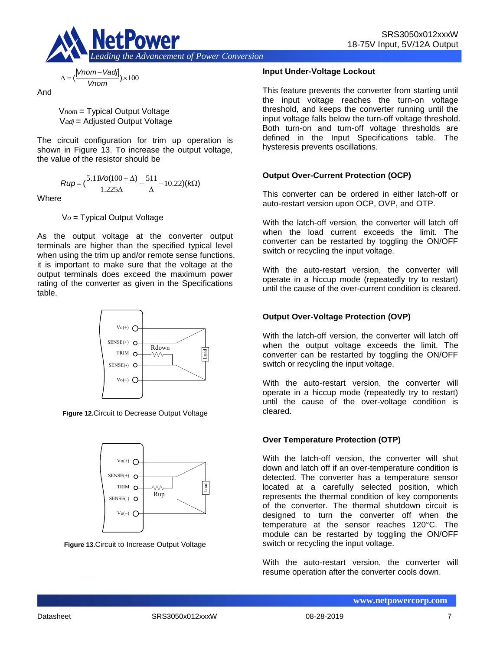

$$
\frac{2m - \text{Vadj}}{\text{Vnom}}
$$

And

 $\Delta = 1$ 

*Vnom Vadj*

V*nom* = Typical Output Voltage V*adj* = Adjusted Output Voltage

The circuit configuration for trim up operation is shown in Figure 13. To increase the output voltage, the value of the resistor should be

$$
Rup = \left(\frac{5.11\text{Vol}(100+\Delta)}{1.225\Delta} - \frac{511}{\Delta} - 10.22\right)(k\Omega)
$$

Where

V*o* = Typical Output Voltage

As the output voltage at the converter output terminals are higher than the specified typical level when using the trim up and/or remote sense functions, it is important to make sure that the voltage at the output terminals does exceed the maximum power rating of the converter as given in the Specifications table.



**Figure 12.**Circuit to Decrease Output Voltage



**Figure 13.**Circuit to Increase Output Voltage

## **Input Under-Voltage Lockout**

This feature prevents the converter from starting until the input voltage reaches the turn-on voltage threshold, and keeps the converter running until the input voltage falls below the turn-off voltage threshold. Both turn-on and turn-off voltage thresholds are defined in the Input Specifications table. The hysteresis prevents oscillations.

## **Output Over-Current Protection (OCP)**

This converter can be ordered in either latch-off or auto-restart version upon OCP, OVP, and OTP.

With the latch-off version, the converter will latch off when the load current exceeds the limit. The converter can be restarted by toggling the ON/OFF switch or recycling the input voltage.

With the auto-restart version, the converter will operate in a hiccup mode (repeatedly try to restart) until the cause of the over-current condition is cleared.

## **Output Over-Voltage Protection (OVP)**

With the latch-off version, the converter will latch off when the output voltage exceeds the limit. The converter can be restarted by toggling the ON/OFF switch or recycling the input voltage.

With the auto-restart version, the converter will operate in a hiccup mode (repeatedly try to restart) until the cause of the over-voltage condition is cleared.

## **Over Temperature Protection (OTP)**

With the latch-off version, the converter will shut down and latch off if an over-temperature condition is detected. The converter has a temperature sensor located at a carefully selected position, which represents the thermal condition of key components of the converter. The thermal shutdown circuit is designed to turn the converter off when the temperature at the sensor reaches 120°C. The module can be restarted by toggling the ON/OFF switch or recycling the input voltage.

With the auto-restart version, the converter will resume operation after the converter cools down.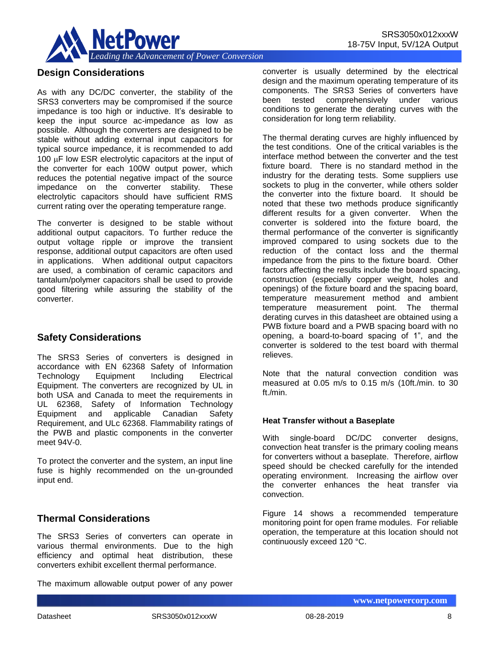

## **Design Considerations**

As with any DC/DC converter, the stability of the SRS3 converters may be compromised if the source impedance is too high or inductive. It's desirable to keep the input source ac-impedance as low as possible. Although the converters are designed to be stable without adding external input capacitors for typical source impedance, it is recommended to add 100  $\mu$ F low ESR electrolytic capacitors at the input of the converter for each 100W output power, which reduces the potential negative impact of the source impedance on the converter stability. These electrolytic capacitors should have sufficient RMS current rating over the operating temperature range.

The converter is designed to be stable without additional output capacitors. To further reduce the output voltage ripple or improve the transient response, additional output capacitors are often used in applications. When additional output capacitors are used, a combination of ceramic capacitors and tantalum/polymer capacitors shall be used to provide good filtering while assuring the stability of the converter.

# **Safety Considerations**

The SRS3 Series of converters is designed in accordance with EN 62368 Safety of Information Technology Equipment Including Electrical Equipment. The converters are recognized by UL in both USA and Canada to meet the requirements in UL 62368, Safety of Information Technology Equipment and applicable Canadian Safety Requirement, and ULc 62368. Flammability ratings of the PWB and plastic components in the converter meet 94V-0.

To protect the converter and the system, an input line fuse is highly recommended on the un-grounded input end.

# **Thermal Considerations**

The SRS3 Series of converters can operate in various thermal environments. Due to the high efficiency and optimal heat distribution, these converters exhibit excellent thermal performance.

The maximum allowable output power of any power

converter is usually determined by the electrical design and the maximum operating temperature of its components. The SRS3 Series of converters have been tested comprehensively under various conditions to generate the derating curves with the consideration for long term reliability.

The thermal derating curves are highly influenced by the test conditions. One of the critical variables is the interface method between the converter and the test fixture board. There is no standard method in the industry for the derating tests. Some suppliers use sockets to plug in the converter, while others solder the converter into the fixture board. It should be noted that these two methods produce significantly different results for a given converter. When the converter is soldered into the fixture board, the thermal performance of the converter is significantly improved compared to using sockets due to the reduction of the contact loss and the thermal impedance from the pins to the fixture board. Other factors affecting the results include the board spacing, construction (especially copper weight, holes and openings) of the fixture board and the spacing board, temperature measurement method and ambient temperature measurement point. The thermal derating curves in this datasheet are obtained using a PWB fixture board and a PWB spacing board with no opening, a board-to-board spacing of 1", and the converter is soldered to the test board with thermal relieves.

Note that the natural convection condition was measured at 0.05 m/s to 0.15 m/s (10ft./min. to 30 ft./min.

## **Heat Transfer without a Baseplate**

With single-board DC/DC converter designs, convection heat transfer is the primary cooling means for converters without a baseplate. Therefore, airflow speed should be checked carefully for the intended operating environment. Increasing the airflow over the converter enhances the heat transfer via convection.

Figure 14 shows a recommended temperature monitoring point for open frame modules. For reliable operation, the temperature at this location should not continuously exceed 120 °C.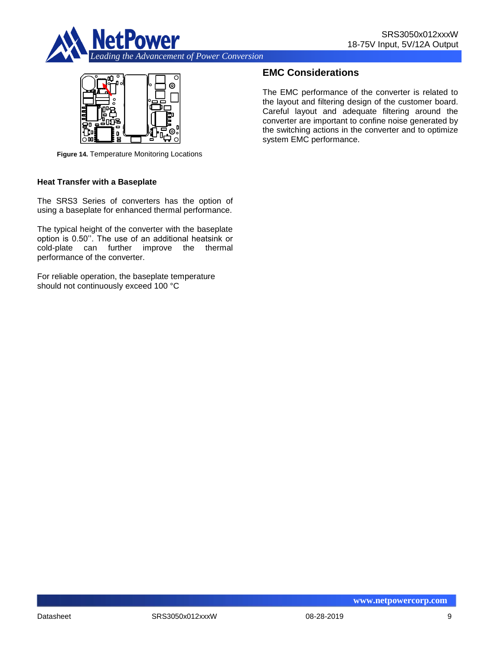



**Figure 14.** Temperature Monitoring Locations

#### **Heat Transfer with a Baseplate**

The SRS3 Series of converters has the option of using a baseplate for enhanced thermal performance.

The typical height of the converter with the baseplate option is 0.50''. The use of an additional heatsink or cold-plate can further improve the thermal performance of the converter.

For reliable operation, the baseplate temperature should not continuously exceed 100 °C

# **EMC Considerations**

The EMC performance of the converter is related to the layout and filtering design of the customer board. Careful layout and adequate filtering around the converter are important to confine noise generated by the switching actions in the converter and to optimize system EMC performance.